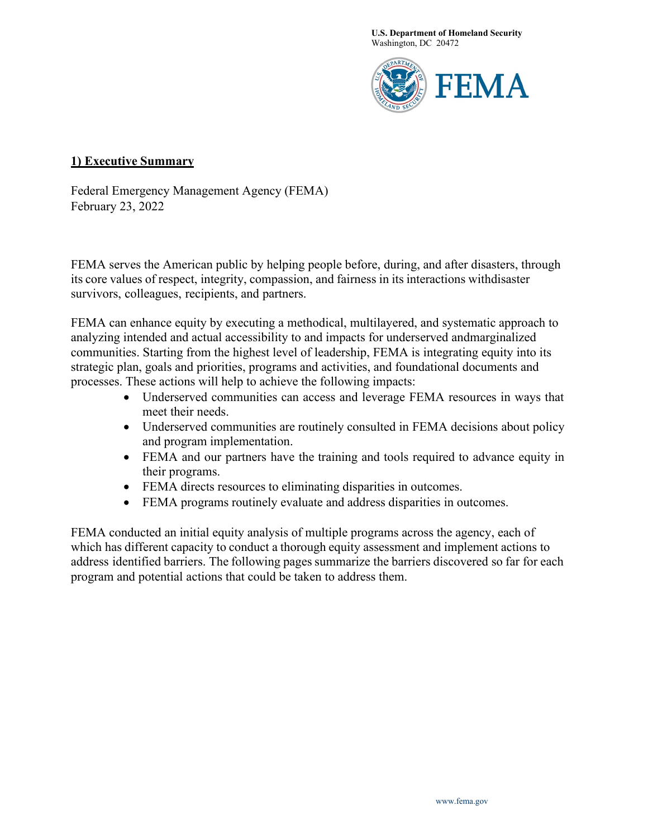**U.S. Department of Homeland Security** Washington, DC 20472



### **1) Executive Summary**

Federal Emergency Management Agency (FEMA) February 23, 2022

FEMA serves the American public by helping people before, during, and after disasters, through its core values of respect, integrity, compassion, and fairness in its interactions withdisaster survivors, colleagues, recipients, and partners.

FEMA can enhance equity by executing a methodical, multilayered, and systematic approach to analyzing intended and actual accessibility to and impacts for underserved andmarginalized communities. Starting from the highest level of leadership, FEMA is integrating equity into its strategic plan, goals and priorities, programs and activities, and foundational documents and processes. These actions will help to achieve the following impacts:

- Underserved communities can access and leverage FEMA resources in ways that meet their needs.
- Underserved communities are routinely consulted in FEMA decisions about policy and program implementation.
- FEMA and our partners have the training and tools required to advance equity in their programs.
- FEMA directs resources to eliminating disparities in outcomes.
- FEMA programs routinely evaluate and address disparities in outcomes.

FEMA conducted an initial equity analysis of multiple programs across the agency, each of which has different capacity to conduct a thorough equity assessment and implement actions to address identified barriers. The following pages summarize the barriers discovered so far for each program and potential actions that could be taken to address them.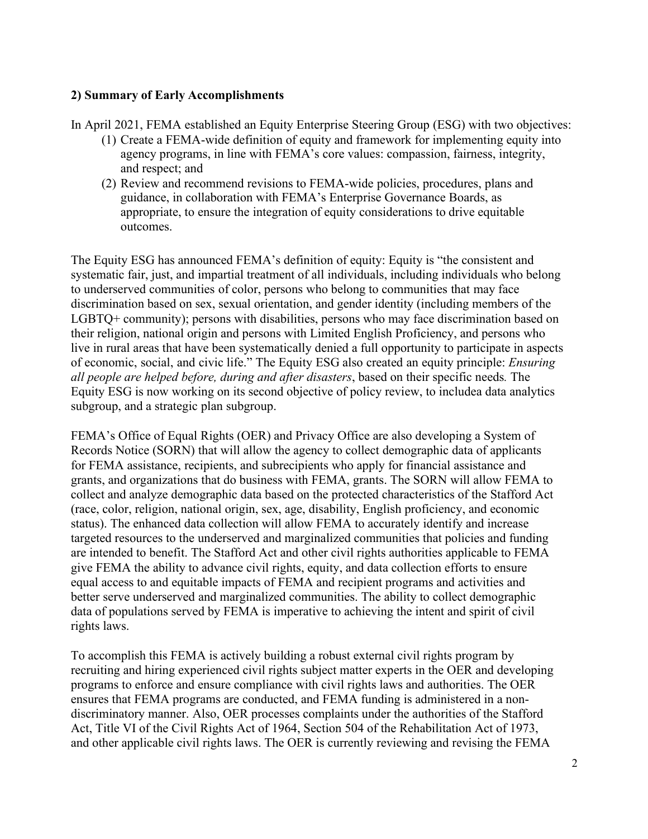### **2) Summary of Early Accomplishments**

In April 2021, FEMA established an Equity Enterprise Steering Group (ESG) with two objectives:

- (1) Create a FEMA-wide definition of equity and framework for implementing equity into agency programs, in line with FEMA's core values: compassion, fairness, integrity, and respect; and
- (2) Review and recommend revisions to FEMA-wide policies, procedures, plans and guidance, in collaboration with FEMA's Enterprise Governance Boards, as appropriate, to ensure the integration of equity considerations to drive equitable outcomes.

The Equity ESG has announced FEMA's definition of equity: Equity is "the consistent and systematic fair, just, and impartial treatment of all individuals, including individuals who belong to underserved communities of color, persons who belong to communities that may face discrimination based on sex, sexual orientation, and gender identity (including members of the LGBTQ+ community); persons with disabilities, persons who may face discrimination based on their religion, national origin and persons with Limited English Proficiency, and persons who live in rural areas that have been systematically denied a full opportunity to participate in aspects of economic, social, and civic life." The Equity ESG also created an equity principle: *Ensuring all people are helped before, during and after disasters*, based on their specific needs*.* The Equity ESG is now working on its second objective of policy review, to includea data analytics subgroup, and a strategic plan subgroup.

FEMA's Office of Equal Rights (OER) and Privacy Office are also developing a System of Records Notice (SORN) that will allow the agency to collect demographic data of applicants for FEMA assistance, recipients, and subrecipients who apply for financial assistance and grants, and organizations that do business with FEMA, grants. The SORN will allow FEMA to collect and analyze demographic data based on the protected characteristics of the Stafford Act (race, color, religion, national origin, sex, age, disability, English proficiency, and economic status). The enhanced data collection will allow FEMA to accurately identify and increase targeted resources to the underserved and marginalized communities that policies and funding are intended to benefit. The Stafford Act and other civil rights authorities applicable to FEMA give FEMA the ability to advance civil rights, equity, and data collection efforts to ensure equal access to and equitable impacts of FEMA and recipient programs and activities and better serve underserved and marginalized communities. The ability to collect demographic data of populations served by FEMA is imperative to achieving the intent and spirit of civil rights laws.

To accomplish this FEMA is actively building a robust external civil rights program by recruiting and hiring experienced civil rights subject matter experts in the OER and developing programs to enforce and ensure compliance with civil rights laws and authorities. The OER ensures that FEMA programs are conducted, and FEMA funding is administered in a nondiscriminatory manner. Also, OER processes complaints under the authorities of the Stafford Act, Title VI of the Civil Rights Act of 1964, Section 504 of the Rehabilitation Act of 1973, and other applicable civil rights laws. The OER is currently reviewing and revising the FEMA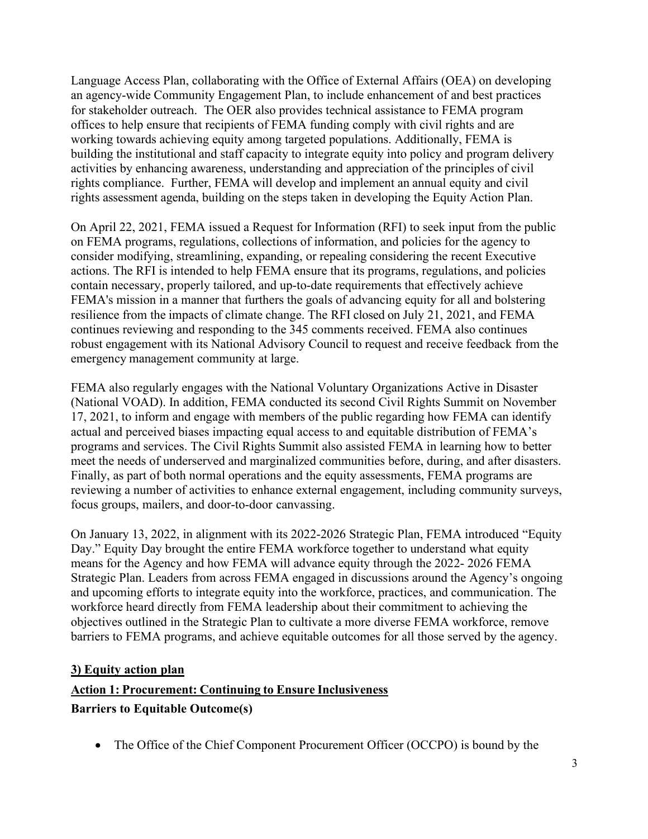Language Access Plan, collaborating with the Office of External Affairs (OEA) on developing an agency-wide Community Engagement Plan, to include enhancement of and best practices for stakeholder outreach. The OER also provides technical assistance to FEMA program offices to help ensure that recipients of FEMA funding comply with civil rights and are working towards achieving equity among targeted populations. Additionally, FEMA is building the institutional and staff capacity to integrate equity into policy and program delivery activities by enhancing awareness, understanding and appreciation of the principles of civil rights compliance. Further, FEMA will develop and implement an annual equity and civil rights assessment agenda, building on the steps taken in developing the Equity Action Plan.

On April 22, 2021, FEMA issued a Request for Information (RFI) to seek input from the public on FEMA programs, regulations, collections of information, and policies for the agency to consider modifying, streamlining, expanding, or repealing considering the recent Executive actions. The RFI is intended to help FEMA ensure that its programs, regulations, and policies contain necessary, properly tailored, and up-to-date requirements that effectively achieve FEMA's mission in a manner that furthers the goals of advancing equity for all and bolstering resilience from the impacts of climate change. The RFI closed on July 21, 2021, and FEMA continues reviewing and responding to the 345 comments received. FEMA also continues robust engagement with its National Advisory Council to request and receive feedback from the emergency management community at large.

FEMA also regularly engages with the National Voluntary Organizations Active in Disaster (National VOAD). In addition, FEMA conducted its second Civil Rights Summit on November 17, 2021, to inform and engage with members of the public regarding how FEMA can identify actual and perceived biases impacting equal access to and equitable distribution of FEMA's programs and services. The Civil Rights Summit also assisted FEMA in learning how to better meet the needs of underserved and marginalized communities before, during, and after disasters. Finally, as part of both normal operations and the equity assessments, FEMA programs are reviewing a number of activities to enhance external engagement, including community surveys, focus groups, mailers, and door-to-door canvassing.

On January 13, 2022, in alignment with its 2022-2026 Strategic Plan, FEMA introduced "Equity Day." Equity Day brought the entire FEMA workforce together to understand what equity means for the Agency and how FEMA will advance equity through the 2022- 2026 FEMA Strategic Plan. Leaders from across FEMA engaged in discussions around the Agency's ongoing and upcoming efforts to integrate equity into the workforce, practices, and communication. The workforce heard directly from FEMA leadership about their commitment to achieving the objectives outlined in the Strategic Plan to cultivate a more diverse FEMA workforce, remove barriers to FEMA programs, and achieve equitable outcomes for all those served by the agency.

#### **3) Equity action plan**

## **Action 1: Procurement: Continuing to Ensure Inclusiveness**

#### **Barriers to Equitable Outcome(s)**

• The Office of the Chief Component Procurement Officer (OCCPO) is bound by the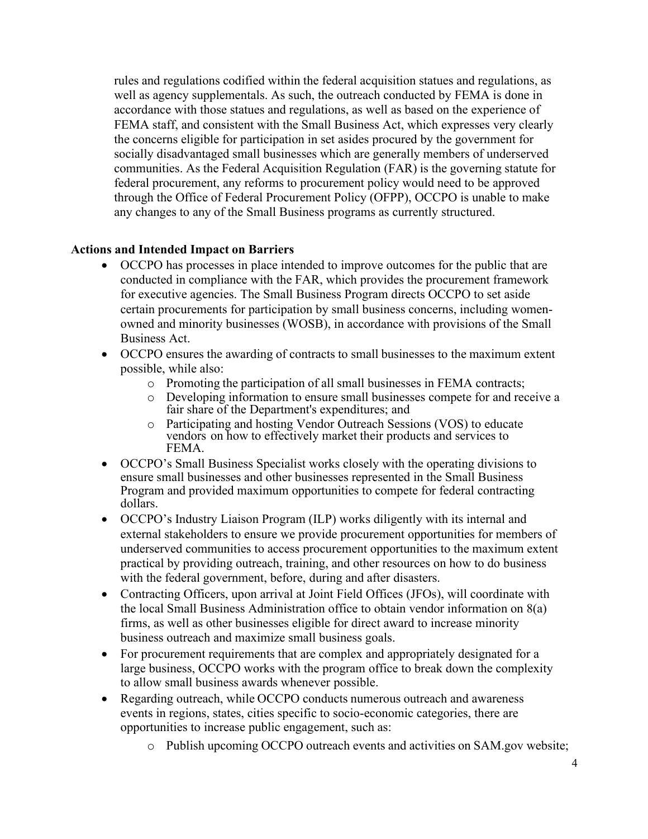rules and regulations codified within the federal acquisition statues and regulations, as well as agency supplementals. As such, the outreach conducted by FEMA is done in accordance with those statues and regulations, as well as based on the experience of FEMA staff, and consistent with the Small Business Act, which expresses very clearly the concerns eligible for participation in set asides procured by the government for socially disadvantaged small businesses which are generally members of underserved communities. As the Federal Acquisition Regulation (FAR) is the governing statute for federal procurement, any reforms to procurement policy would need to be approved through the Office of Federal Procurement Policy (OFPP), OCCPO is unable to make any changes to any of the Small Business programs as currently structured.

### **Actions and Intended Impact on Barriers**

- OCCPO has processes in place intended to improve outcomes for the public that are conducted in compliance with the FAR, which provides the procurement framework for executive agencies. The Small Business Program directs OCCPO to set aside certain procurements for participation by small business concerns, including womenowned and minority businesses (WOSB), in accordance with provisions of the Small Business Act.
- OCCPO ensures the awarding of contracts to small businesses to the maximum extent possible, while also:
	- o Promoting the participation of all small businesses in FEMA contracts;
	- o Developing information to ensure small businesses compete for and receive a fair share of the Department's expenditures; and
	- Participating and hosting Vendor Outreach Sessions (VOS) to educate vendors on how to effectively market their products and services to FEMA.
- OCCPO's Small Business Specialist works closely with the operating divisions to ensure small businesses and other businesses represented in the Small Business Program and provided maximum opportunities to compete for federal contracting dollars.
- OCCPO's Industry Liaison Program (ILP) works diligently with its internal and external stakeholders to ensure we provide procurement opportunities for members of underserved communities to access procurement opportunities to the maximum extent practical by providing outreach, training, and other resources on how to do business with the federal government, before, during and after disasters.
- Contracting Officers, upon arrival at Joint Field Offices (JFOs), will coordinate with the local Small Business Administration office to obtain vendor information on 8(a) firms, as well as other businesses eligible for direct award to increase minority business outreach and maximize small business goals.
- For procurement requirements that are complex and appropriately designated for a large business, OCCPO works with the program office to break down the complexity to allow small business awards whenever possible.
- Regarding outreach, while OCCPO conducts numerous outreach and awareness events in regions, states, cities specific to socio-economic categories, there are opportunities to increase public engagement, such as:
	- o Publish upcoming OCCPO outreach events and activities on SAM.gov website;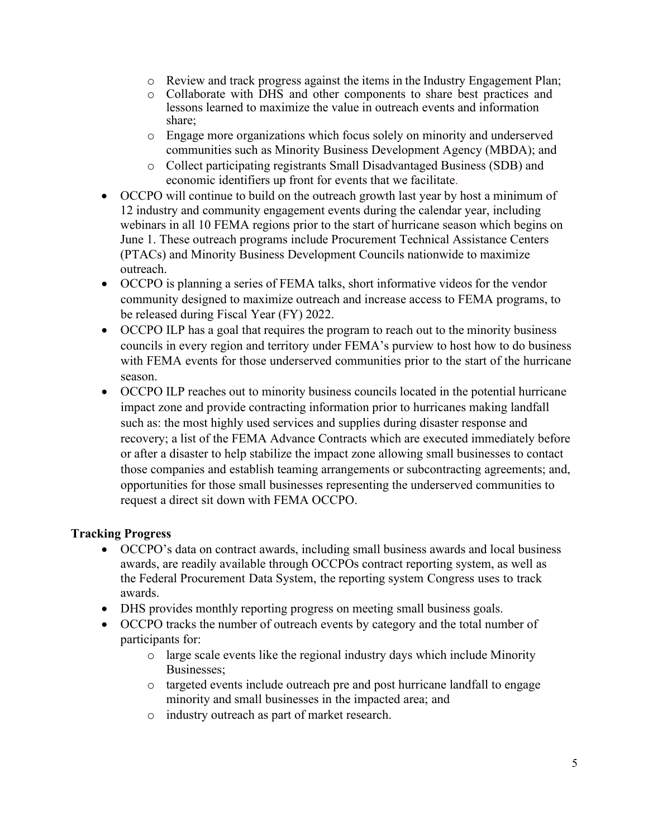- o Review and track progress against the items in the Industry Engagement Plan;
- o Collaborate with DHS and other components to share best practices and lessons learned to maximize the value in outreach events and information share;
- o Engage more organizations which focus solely on minority and underserved communities such as Minority Business Development Agency (MBDA); and
- o Collect participating registrants Small Disadvantaged Business (SDB) and economic identifiers up front for events that we facilitate.
- OCCPO will continue to build on the outreach growth last year by host a minimum of 12 industry and community engagement events during the calendar year, including webinars in all 10 FEMA regions prior to the start of hurricane season which begins on June 1. These outreach programs include Procurement Technical Assistance Centers (PTACs) and Minority Business Development Councils nationwide to maximize outreach.
- OCCPO is planning a series of FEMA talks, short informative videos for the vendor community designed to maximize outreach and increase access to FEMA programs, to be released during Fiscal Year (FY) 2022.
- OCCPO ILP has a goal that requires the program to reach out to the minority business councils in every region and territory under FEMA's purview to host how to do business with FEMA events for those underserved communities prior to the start of the hurricane season.
- OCCPO ILP reaches out to minority business councils located in the potential hurricane impact zone and provide contracting information prior to hurricanes making landfall such as: the most highly used services and supplies during disaster response and recovery; a list of the FEMA Advance Contracts which are executed immediately before or after a disaster to help stabilize the impact zone allowing small businesses to contact those companies and establish teaming arrangements or subcontracting agreements; and, opportunities for those small businesses representing the underserved communities to request a direct sit down with FEMA OCCPO.

# **Tracking Progress**

- OCCPO's data on contract awards, including small business awards and local business awards, are readily available through OCCPOs contract reporting system, as well as the Federal Procurement Data System, the reporting system Congress uses to track awards.
- DHS provides monthly reporting progress on meeting small business goals.
- OCCPO tracks the number of outreach events by category and the total number of participants for:
	- o large scale events like the regional industry days which include Minority Businesses;
	- o targeted events include outreach pre and post hurricane landfall to engage minority and small businesses in the impacted area; and
	- o industry outreach as part of market research.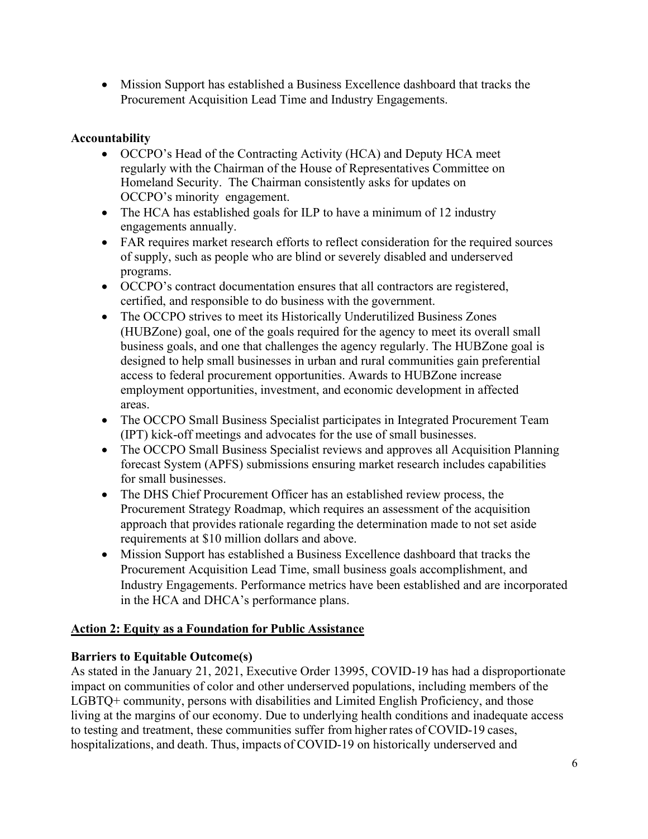• Mission Support has established a Business Excellence dashboard that tracks the Procurement Acquisition Lead Time and Industry Engagements.

# **Accountability**

- OCCPO's Head of the Contracting Activity (HCA) and Deputy HCA meet regularly with the Chairman of the House of Representatives Committee on Homeland Security. The Chairman consistently asks for updates on OCCPO's minority engagement.
- The HCA has established goals for ILP to have a minimum of 12 industry engagements annually.
- FAR requires market research efforts to reflect consideration for the required sources of supply, such as people who are blind or severely disabled and underserved programs.
- OCCPO's contract documentation ensures that all contractors are registered, certified, and responsible to do business with the government.
- The OCCPO strives to meet its Historically Underutilized Business Zones (HUBZone) goal, one of the goals required for the agency to meet its overall small business goals, and one that challenges the agency regularly. The HUBZone goal is designed to help small businesses in urban and rural communities gain preferential access to federal procurement opportunities. Awards to HUBZone increase employment opportunities, investment, and economic development in affected areas.
- The OCCPO Small Business Specialist participates in Integrated Procurement Team (IPT) kick-off meetings and advocates for the use of small businesses.
- The OCCPO Small Business Specialist reviews and approves all Acquisition Planning forecast System (APFS) submissions ensuring market research includes capabilities for small businesses.
- The DHS Chief Procurement Officer has an established review process, the Procurement Strategy Roadmap, which requires an assessment of the acquisition approach that provides rationale regarding the determination made to not set aside requirements at \$10 million dollars and above.
- Mission Support has established a Business Excellence dashboard that tracks the Procurement Acquisition Lead Time, small business goals accomplishment, and Industry Engagements. Performance metrics have been established and are incorporated in the HCA and DHCA's performance plans.

# **Action 2: Equity as a Foundation for Public Assistance**

## **Barriers to Equitable Outcome(s)**

As stated in the January 21, 2021, Executive Order 13995, COVID-19 has had a disproportionate impact on communities of color and other underserved populations, including members of the LGBTQ+ community, persons with disabilities and Limited English Proficiency, and those living at the margins of our economy. Due to underlying health conditions and inadequate access to testing and treatment, these communities suffer from higher rates of COVID-19 cases, hospitalizations, and death. Thus, impacts of COVID-19 on historically underserved and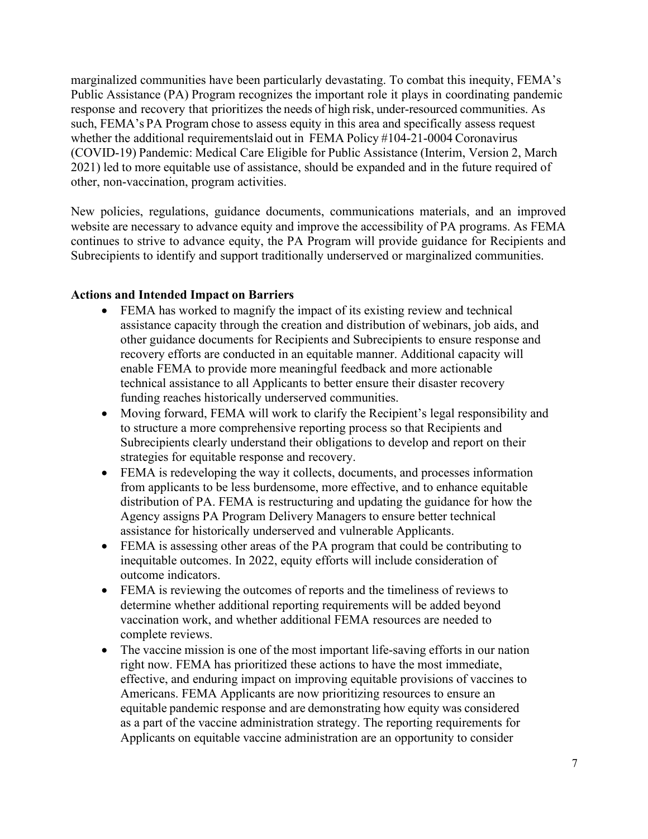marginalized communities have been particularly devastating. To combat this inequity, FEMA's Public Assistance (PA) Program recognizes the important role it plays in coordinating pandemic response and recovery that prioritizes the needs of high risk, under-resourced communities. As such, FEMA's PA Program chose to assess equity in this area and specifically assess request whether the additional requirementslaid out in FEMA Policy #104-21-0004 Coronavirus (COVID-19) Pandemic: Medical Care Eligible for Public Assistance (Interim, Version 2, March 2021) led to more equitable use of assistance, should be expanded and in the future required of other, non-vaccination, program activities.

New policies, regulations, guidance documents, communications materials, and an improved website are necessary to advance equity and improve the accessibility of PA programs. As FEMA continues to strive to advance equity, the PA Program will provide guidance for Recipients and Subrecipients to identify and support traditionally underserved or marginalized communities.

#### **Actions and Intended Impact on Barriers**

- FEMA has worked to magnify the impact of its existing review and technical assistance capacity through the creation and distribution of webinars, job aids, and other guidance documents for Recipients and Subrecipients to ensure response and recovery efforts are conducted in an equitable manner. Additional capacity will enable FEMA to provide more meaningful feedback and more actionable technical assistance to all Applicants to better ensure their disaster recovery funding reaches historically underserved communities.
- Moving forward, FEMA will work to clarify the Recipient's legal responsibility and to structure a more comprehensive reporting process so that Recipients and Subrecipients clearly understand their obligations to develop and report on their strategies for equitable response and recovery.
- FEMA is redeveloping the way it collects, documents, and processes information from applicants to be less burdensome, more effective, and to enhance equitable distribution of PA. FEMA is restructuring and updating the guidance for how the Agency assigns PA Program Delivery Managers to ensure better technical assistance for historically underserved and vulnerable Applicants.
- FEMA is assessing other areas of the PA program that could be contributing to inequitable outcomes. In 2022, equity efforts will include consideration of outcome indicators.
- FEMA is reviewing the outcomes of reports and the timeliness of reviews to determine whether additional reporting requirements will be added beyond vaccination work, and whether additional FEMA resources are needed to complete reviews.
- The vaccine mission is one of the most important life-saving efforts in our nation right now. FEMA has prioritized these actions to have the most immediate, effective, and enduring impact on improving equitable provisions of vaccines to Americans. FEMA Applicants are now prioritizing resources to ensure an equitable pandemic response and are demonstrating how equity was considered as a part of the vaccine administration strategy. The reporting requirements for Applicants on equitable vaccine administration are an opportunity to consider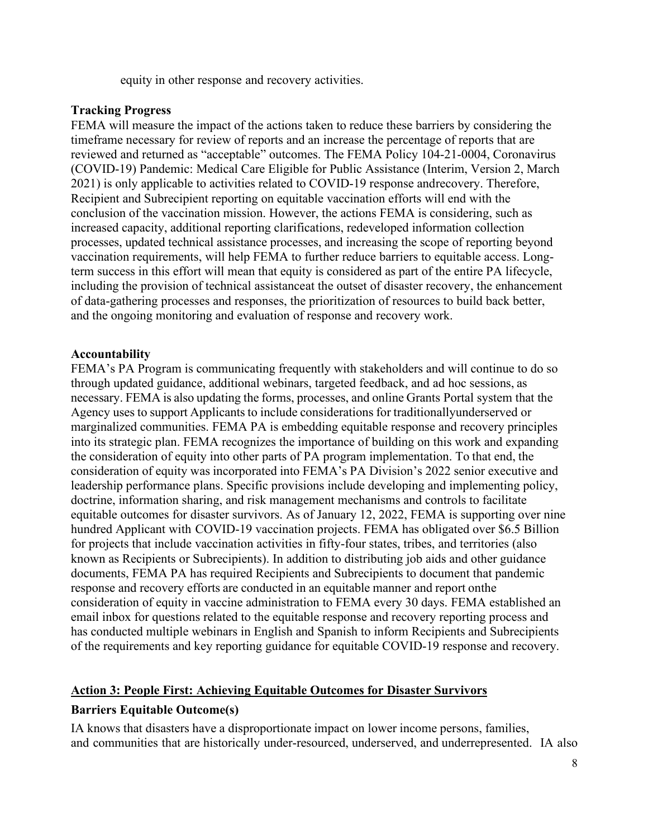equity in other response and recovery activities.

### **Tracking Progress**

FEMA will measure the impact of the actions taken to reduce these barriers by considering the timeframe necessary for review of reports and an increase the percentage of reports that are reviewed and returned as "acceptable" outcomes. The FEMA Policy 104-21-0004, Coronavirus (COVID-19) Pandemic: Medical Care Eligible for Public Assistance (Interim, Version 2, March 2021) is only applicable to activities related to COVID-19 response andrecovery. Therefore, Recipient and Subrecipient reporting on equitable vaccination efforts will end with the conclusion of the vaccination mission. However, the actions FEMA is considering, such as increased capacity, additional reporting clarifications, redeveloped information collection processes, updated technical assistance processes, and increasing the scope of reporting beyond vaccination requirements, will help FEMA to further reduce barriers to equitable access. Longterm success in this effort will mean that equity is considered as part of the entire PA lifecycle, including the provision of technical assistanceat the outset of disaster recovery, the enhancement of data-gathering processes and responses, the prioritization of resources to build back better, and the ongoing monitoring and evaluation of response and recovery work.

### **Accountability**

FEMA's PA Program is communicating frequently with stakeholders and will continue to do so through updated guidance, additional webinars, targeted feedback, and ad hoc sessions, as necessary. FEMA is also updating the forms, processes, and online Grants Portal system that the Agency uses to support Applicants to include considerations for traditionallyunderserved or marginalized communities. FEMA PA is embedding equitable response and recovery principles into its strategic plan. FEMA recognizes the importance of building on this work and expanding the consideration of equity into other parts of PA program implementation. To that end, the consideration of equity was incorporated into FEMA's PA Division's 2022 senior executive and leadership performance plans. Specific provisions include developing and implementing policy, doctrine, information sharing, and risk management mechanisms and controls to facilitate equitable outcomes for disaster survivors. As of January 12, 2022, FEMA is supporting over nine hundred Applicant with COVID-19 vaccination projects. FEMA has obligated over \$6.5 Billion for projects that include vaccination activities in fifty-four states, tribes, and territories (also known as Recipients or Subrecipients). In addition to distributing job aids and other guidance documents, FEMA PA has required Recipients and Subrecipients to document that pandemic response and recovery efforts are conducted in an equitable manner and report onthe consideration of equity in vaccine administration to FEMA every 30 days. FEMA established an email inbox for questions related to the equitable response and recovery reporting process and has conducted multiple webinars in English and Spanish to inform Recipients and Subrecipients of the requirements and key reporting guidance for equitable COVID-19 response and recovery.

#### **Action 3: People First: Achieving Equitable Outcomes for Disaster Survivors**

## **Barriers Equitable Outcome(s)**

IA knows that disasters have a disproportionate impact on lower income persons, families, and communities that are historically under-resourced, underserved, and underrepresented. IA also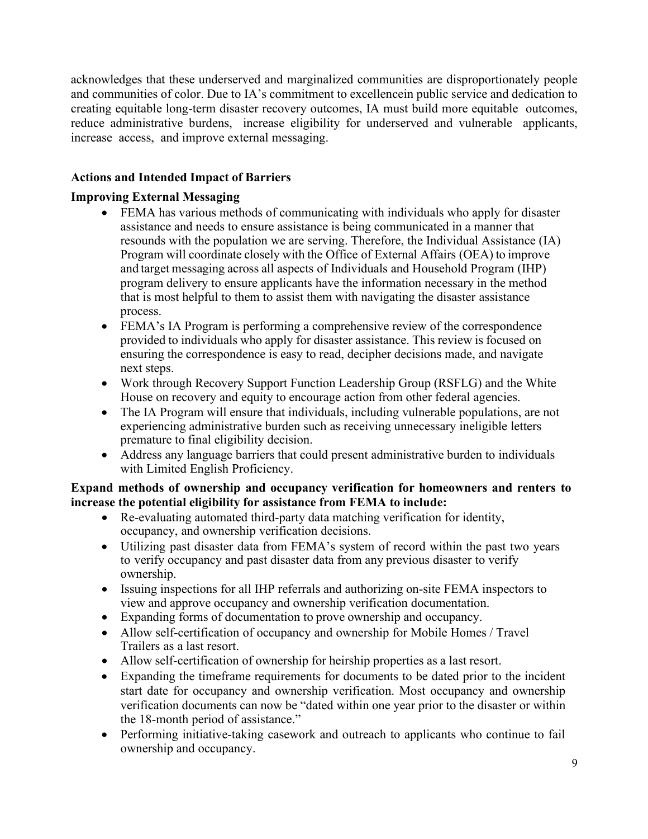acknowledges that these underserved and marginalized communities are disproportionately people and communities of color. Due to IA's commitment to excellencein public service and dedication to creating equitable long-term disaster recovery outcomes, IA must build more equitable outcomes, reduce administrative burdens, increase eligibility for underserved and vulnerable applicants, increase access, and improve external messaging.

# **Actions and Intended Impact of Barriers**

## **Improving External Messaging**

- FEMA has various methods of communicating with individuals who apply for disaster assistance and needs to ensure assistance is being communicated in a manner that resounds with the population we are serving. Therefore, the Individual Assistance (IA) Program will coordinate closely with the Office of External Affairs (OEA) to improve and target messaging across all aspects of Individuals and Household Program (IHP) program delivery to ensure applicants have the information necessary in the method that is most helpful to them to assist them with navigating the disaster assistance process.
- FEMA's IA Program is performing a comprehensive review of the correspondence provided to individuals who apply for disaster assistance. This review is focused on ensuring the correspondence is easy to read, decipher decisions made, and navigate next steps.
- Work through Recovery Support Function Leadership Group (RSFLG) and the White House on recovery and equity to encourage action from other federal agencies.
- The IA Program will ensure that individuals, including vulnerable populations, are not experiencing administrative burden such as receiving unnecessary ineligible letters premature to final eligibility decision.
- Address any language barriers that could present administrative burden to individuals with Limited English Proficiency.

### **Expand methods of ownership and occupancy verification for homeowners and renters to increase the potential eligibility for assistance from FEMA to include:**

- Re-evaluating automated third-party data matching verification for identity, occupancy, and ownership verification decisions.
- Utilizing past disaster data from FEMA's system of record within the past two years to verify occupancy and past disaster data from any previous disaster to verify ownership.
- Issuing inspections for all IHP referrals and authorizing on-site FEMA inspectors to view and approve occupancy and ownership verification documentation.
- Expanding forms of documentation to prove ownership and occupancy.
- Allow self-certification of occupancy and ownership for Mobile Homes / Travel Trailers as a last resort.
- Allow self-certification of ownership for heirship properties as a last resort.
- Expanding the timeframe requirements for documents to be dated prior to the incident start date for occupancy and ownership verification. Most occupancy and ownership verification documents can now be "dated within one year prior to the disaster or within the 18-month period of assistance."
- Performing initiative-taking casework and outreach to applicants who continue to fail ownership and occupancy.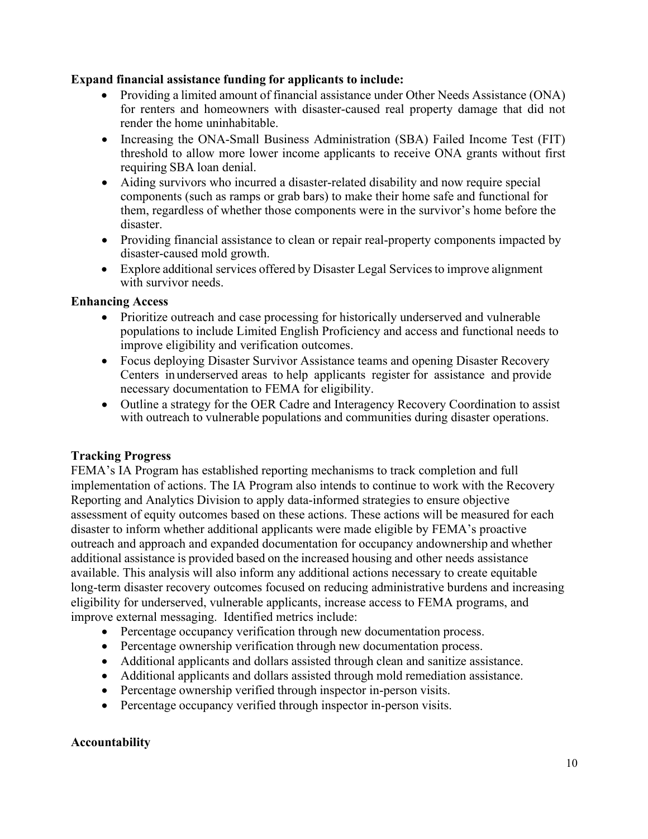### **Expand financial assistance funding for applicants to include:**

- Providing a limited amount of financial assistance under Other Needs Assistance (ONA) for renters and homeowners with disaster-caused real property damage that did not render the home uninhabitable.
- Increasing the ONA-Small Business Administration (SBA) Failed Income Test (FIT) threshold to allow more lower income applicants to receive ONA grants without first requiring SBA loan denial.
- Aiding survivors who incurred a disaster-related disability and now require special components (such as ramps or grab bars) to make their home safe and functional for them, regardless of whether those components were in the survivor's home before the disaster.
- Providing financial assistance to clean or repair real-property components impacted by disaster-caused mold growth.
- Explore additional services offered by Disaster Legal Services to improve alignment with survivor needs.

### **Enhancing Access**

- Prioritize outreach and case processing for historically underserved and vulnerable populations to include Limited English Proficiency and access and functional needs to improve eligibility and verification outcomes.
- Focus deploying Disaster Survivor Assistance teams and opening Disaster Recovery Centers in underserved areas to help applicants register for assistance and provide necessary documentation to FEMA for eligibility.
- Outline a strategy for the OER Cadre and Interagency Recovery Coordination to assist with outreach to vulnerable populations and communities during disaster operations.

## **Tracking Progress**

FEMA's IA Program has established reporting mechanisms to track completion and full implementation of actions. The IA Program also intends to continue to work with the Recovery Reporting and Analytics Division to apply data-informed strategies to ensure objective assessment of equity outcomes based on these actions. These actions will be measured for each disaster to inform whether additional applicants were made eligible by FEMA's proactive outreach and approach and expanded documentation for occupancy andownership and whether additional assistance is provided based on the increased housing and other needs assistance available. This analysis will also inform any additional actions necessary to create equitable long-term disaster recovery outcomes focused on reducing administrative burdens and increasing eligibility for underserved, vulnerable applicants, increase access to FEMA programs, and improve external messaging. Identified metrics include:

- Percentage occupancy verification through new documentation process.
- Percentage ownership verification through new documentation process.
- Additional applicants and dollars assisted through clean and sanitize assistance.
- Additional applicants and dollars assisted through mold remediation assistance.
- Percentage ownership verified through inspector in-person visits.
- Percentage occupancy verified through inspector in-person visits.

## **Accountability**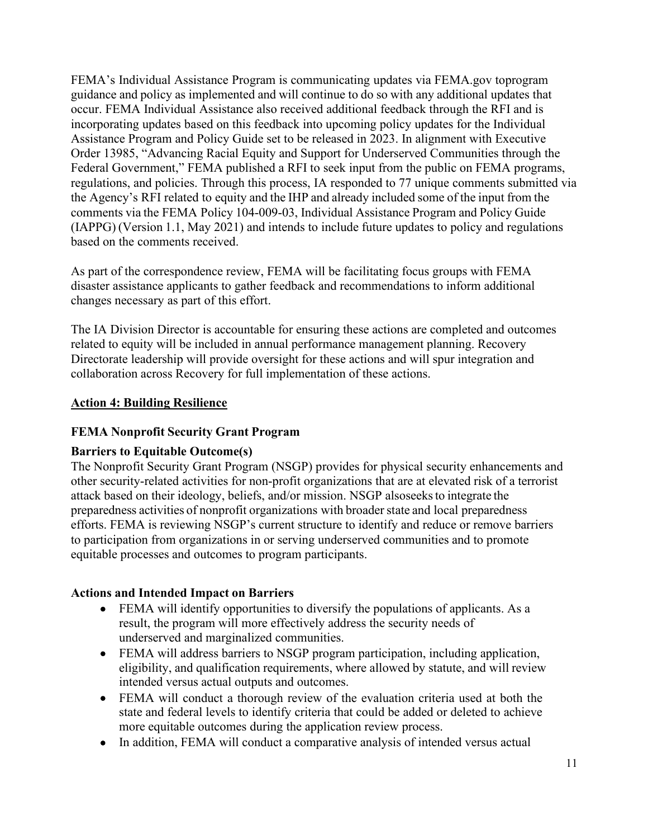FEMA's Individual Assistance Program is communicating updates via FEMA.gov toprogram guidance and policy as implemented and will continue to do so with any additional updates that occur. FEMA Individual Assistance also received additional feedback through the RFI and is incorporating updates based on this feedback into upcoming policy updates for the Individual Assistance Program and Policy Guide set to be released in 2023. In alignment with Executive Order 13985, "Advancing Racial Equity and Support for Underserved Communities through the Federal Government," FEMA published a RFI to seek input from the public on FEMA programs, regulations, and policies. Through this process, IA responded to 77 unique comments submitted via the Agency's RFI related to equity and the IHP and already included some of the input from the comments via the FEMA Policy 104-009-03, Individual Assistance Program and Policy Guide (IAPPG) (Version 1.1, May 2021) and intends to include future updates to policy and regulations based on the comments received.

As part of the correspondence review, FEMA will be facilitating focus groups with FEMA disaster assistance applicants to gather feedback and recommendations to inform additional changes necessary as part of this effort.

The IA Division Director is accountable for ensuring these actions are completed and outcomes related to equity will be included in annual performance management planning. Recovery Directorate leadership will provide oversight for these actions and will spur integration and collaboration across Recovery for full implementation of these actions.

## **Action 4: Building Resilience**

## **FEMA Nonprofit Security Grant Program**

#### **Barriers to Equitable Outcome(s)**

The Nonprofit Security Grant Program (NSGP) provides for physical security enhancements and other security-related activities for non-profit organizations that are at elevated risk of a terrorist attack based on their ideology, beliefs, and/or mission. NSGP alsoseeksto integrate the preparedness activities of nonprofit organizations with broader state and local preparedness efforts. FEMA is reviewing NSGP's current structure to identify and reduce or remove barriers to participation from organizations in or serving underserved communities and to promote equitable processes and outcomes to program participants.

#### **Actions and Intended Impact on Barriers**

- FEMA will identify opportunities to diversify the populations of applicants. As a result, the program will more effectively address the security needs of underserved and marginalized communities.
- FEMA will address barriers to NSGP program participation, including application, eligibility, and qualification requirements, where allowed by statute, and will review intended versus actual outputs and outcomes.
- FEMA will conduct a thorough review of the evaluation criteria used at both the state and federal levels to identify criteria that could be added or deleted to achieve more equitable outcomes during the application review process.
- In addition, FEMA will conduct a comparative analysis of intended versus actual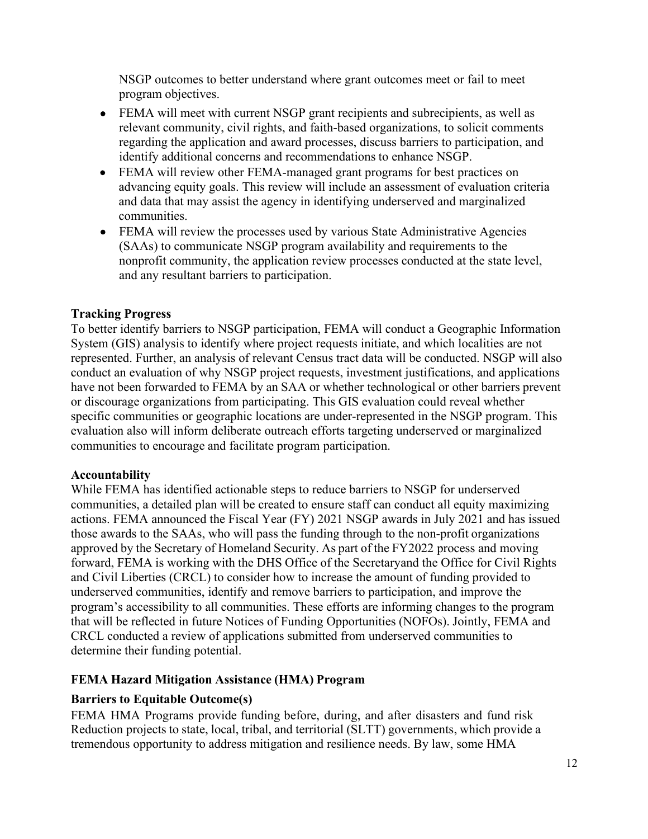NSGP outcomes to better understand where grant outcomes meet or fail to meet program objectives.

- FEMA will meet with current NSGP grant recipients and subrecipients, as well as relevant community, civil rights, and faith-based organizations, to solicit comments regarding the application and award processes, discuss barriers to participation, and identify additional concerns and recommendations to enhance NSGP.
- FEMA will review other FEMA-managed grant programs for best practices on advancing equity goals. This review will include an assessment of evaluation criteria and data that may assist the agency in identifying underserved and marginalized communities.
- FEMA will review the processes used by various State Administrative Agencies (SAAs) to communicate NSGP program availability and requirements to the nonprofit community, the application review processes conducted at the state level, and any resultant barriers to participation.

# **Tracking Progress**

To better identify barriers to NSGP participation, FEMA will conduct a Geographic Information System (GIS) analysis to identify where project requests initiate, and which localities are not represented. Further, an analysis of relevant Census tract data will be conducted. NSGP will also conduct an evaluation of why NSGP project requests, investment justifications, and applications have not been forwarded to FEMA by an SAA or whether technological or other barriers prevent or discourage organizations from participating. This GIS evaluation could reveal whether specific communities or geographic locations are under-represented in the NSGP program. This evaluation also will inform deliberate outreach efforts targeting underserved or marginalized communities to encourage and facilitate program participation.

## **Accountability**

While FEMA has identified actionable steps to reduce barriers to NSGP for underserved communities, a detailed plan will be created to ensure staff can conduct all equity maximizing actions. FEMA announced the Fiscal Year (FY) 2021 NSGP awards in July 2021 and has issued those awards to the SAAs, who will pass the funding through to the non-profit organizations approved by the Secretary of Homeland Security. As part of the FY2022 process and moving forward, FEMA is working with the DHS Office of the Secretaryand the Office for Civil Rights and Civil Liberties (CRCL) to consider how to increase the amount of funding provided to underserved communities, identify and remove barriers to participation, and improve the program's accessibility to all communities. These efforts are informing changes to the program that will be reflected in future Notices of Funding Opportunities (NOFOs). Jointly, FEMA and CRCL conducted a review of applications submitted from underserved communities to determine their funding potential.

## **FEMA Hazard Mitigation Assistance (HMA) Program**

# **Barriers to Equitable Outcome(s)**

FEMA HMA Programs provide funding before, during, and after disasters and fund risk Reduction projects to state, local, tribal, and territorial (SLTT) governments, which provide a tremendous opportunity to address mitigation and resilience needs. By law, some HMA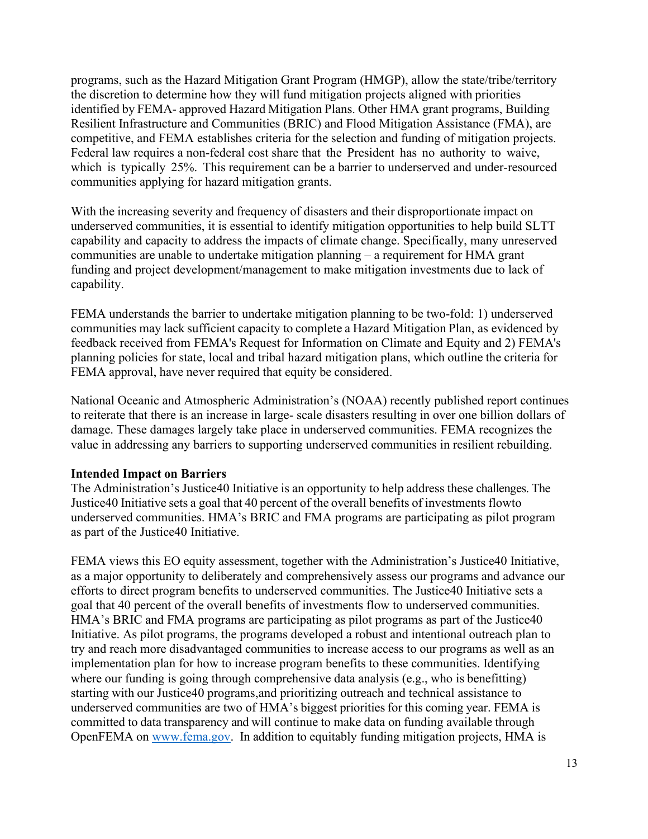programs, such as the Hazard Mitigation Grant Program (HMGP), allow the state/tribe/territory the discretion to determine how they will fund mitigation projects aligned with priorities identified by FEMA- approved Hazard Mitigation Plans. Other HMA grant programs, Building Resilient Infrastructure and Communities (BRIC) and Flood Mitigation Assistance (FMA), are competitive, and FEMA establishes criteria for the selection and funding of mitigation projects. Federal law requires a non-federal cost share that the President has no authority to waive, which is typically 25%. This requirement can be a barrier to underserved and under-resourced communities applying for hazard mitigation grants.

With the increasing severity and frequency of disasters and their disproportionate impact on underserved communities, it is essential to identify mitigation opportunities to help build SLTT capability and capacity to address the impacts of climate change. Specifically, many unreserved communities are unable to undertake mitigation planning – a requirement for HMA grant funding and project development/management to make mitigation investments due to lack of capability.

FEMA understands the barrier to undertake mitigation planning to be two-fold: 1) underserved communities may lack sufficient capacity to complete a Hazard Mitigation Plan, as evidenced by feedback received from FEMA's Request for Information on Climate and Equity and 2) FEMA's planning policies for state, local and tribal hazard mitigation plans, which outline the criteria for FEMA approval, have never required that equity be considered.

National Oceanic and Atmospheric Administration's (NOAA) recently published report continues to reiterate that there is an increase in large- scale disasters resulting in over one billion dollars of damage. These damages largely take place in underserved communities. FEMA recognizes the value in addressing any barriers to supporting underserved communities in resilient rebuilding.

#### **Intended Impact on Barriers**

The Administration's Justice40 Initiative is an opportunity to help address these challenges. The Justice40 Initiative sets a goal that 40 percent of the overall benefits of investments flowto underserved communities. HMA's BRIC and FMA programs are participating as pilot program as part of the Justice40 Initiative.

FEMA views this EO equity assessment, together with the Administration's Justice40 Initiative, as a major opportunity to deliberately and comprehensively assess our programs and advance our efforts to direct program benefits to underserved communities. The Justice40 Initiative sets a goal that 40 percent of the overall benefits of investments flow to underserved communities. HMA's BRIC and FMA programs are participating as pilot programs as part of the Justice40 Initiative. As pilot programs, the programs developed a robust and intentional outreach plan to try and reach more disadvantaged communities to increase access to our programs as well as an implementation plan for how to increase program benefits to these communities. Identifying where our funding is going through comprehensive data analysis (e.g., who is benefitting) starting with our Justice40 programs,and prioritizing outreach and technical assistance to underserved communities are two of HMA's biggest priorities for this coming year. FEMA is committed to data transparency and will continue to make data on funding available through OpenFEMA on [www.fema.gov.](http://www.fema.gov/) In addition to equitably funding mitigation projects, HMA is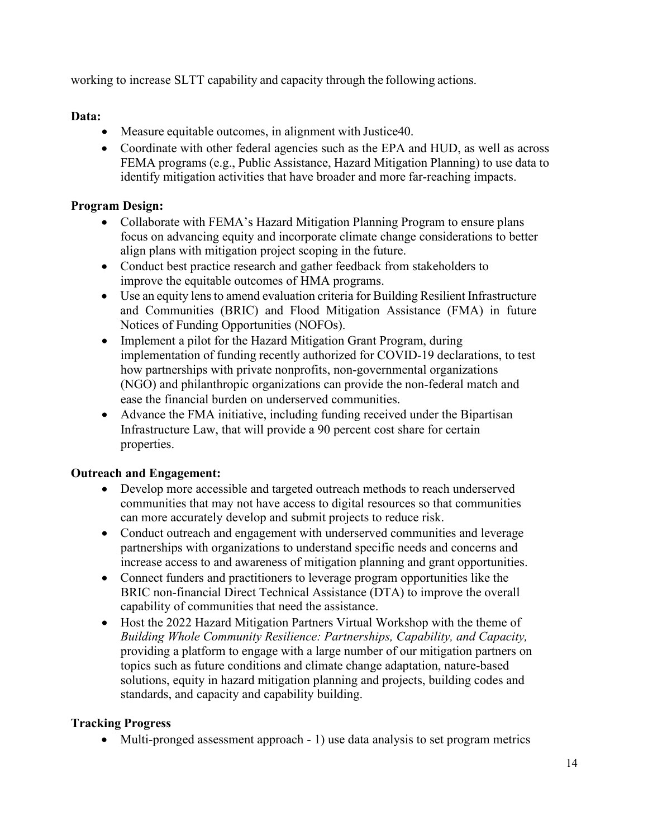working to increase SLTT capability and capacity through the following actions.

# **Data:**

- Measure equitable outcomes, in alignment with Justice40.
- Coordinate with other federal agencies such as the EPA and HUD, as well as across FEMA programs (e.g., Public Assistance, Hazard Mitigation Planning) to use data to identify mitigation activities that have broader and more far-reaching impacts.

# **Program Design:**

- Collaborate with FEMA's Hazard Mitigation Planning Program to ensure plans focus on advancing equity and incorporate climate change considerations to better align plans with mitigation project scoping in the future.
- Conduct best practice research and gather feedback from stakeholders to improve the equitable outcomes of HMA programs.
- Use an equity lens to amend evaluation criteria for Building Resilient Infrastructure and Communities (BRIC) and Flood Mitigation Assistance (FMA) in future Notices of Funding Opportunities (NOFOs).
- Implement a pilot for the Hazard Mitigation Grant Program, during implementation of funding recently authorized for COVID-19 declarations, to test how partnerships with private nonprofits, non-governmental organizations (NGO) and philanthropic organizations can provide the non-federal match and ease the financial burden on underserved communities.
- Advance the FMA initiative, including funding received under the Bipartisan Infrastructure Law, that will provide a 90 percent cost share for certain properties.

## **Outreach and Engagement:**

- Develop more accessible and targeted outreach methods to reach underserved communities that may not have access to digital resources so that communities can more accurately develop and submit projects to reduce risk.
- Conduct outreach and engagement with underserved communities and leverage partnerships with organizations to understand specific needs and concerns and increase access to and awareness of mitigation planning and grant opportunities.
- Connect funders and practitioners to leverage program opportunities like the BRIC non-financial Direct Technical Assistance (DTA) to improve the overall capability of communities that need the assistance.
- Host the 2022 Hazard Mitigation Partners Virtual Workshop with the theme of *Building Whole Community Resilience: Partnerships, Capability, and Capacity,* providing a platform to engage with a large number of our mitigation partners on topics such as future conditions and climate change adaptation, nature-based solutions, equity in hazard mitigation planning and projects, building codes and standards, and capacity and capability building.

# **Tracking Progress**

• Multi-pronged assessment approach - 1) use data analysis to set program metrics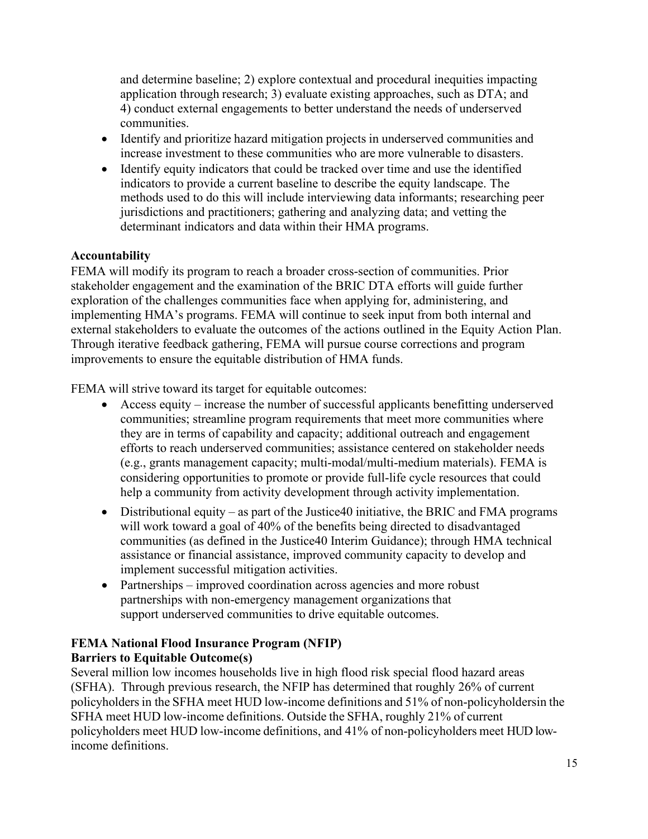and determine baseline; 2) explore contextual and procedural inequities impacting application through research; 3) evaluate existing approaches, such as DTA; and 4) conduct external engagements to better understand the needs of underserved communities.

- Identify and prioritize hazard mitigation projects in underserved communities and increase investment to these communities who are more vulnerable to disasters.
- Identify equity indicators that could be tracked over time and use the identified indicators to provide a current baseline to describe the equity landscape. The methods used to do this will include interviewing data informants; researching peer jurisdictions and practitioners; gathering and analyzing data; and vetting the determinant indicators and data within their HMA programs.

## **Accountability**

FEMA will modify its program to reach a broader cross-section of communities. Prior stakeholder engagement and the examination of the BRIC DTA efforts will guide further exploration of the challenges communities face when applying for, administering, and implementing HMA's programs. FEMA will continue to seek input from both internal and external stakeholders to evaluate the outcomes of the actions outlined in the Equity Action Plan. Through iterative feedback gathering, FEMA will pursue course corrections and program improvements to ensure the equitable distribution of HMA funds.

FEMA will strive toward its target for equitable outcomes:

- Access equity increase the number of successful applicants benefitting underserved communities; streamline program requirements that meet more communities where they are in terms of capability and capacity; additional outreach and engagement efforts to reach underserved communities; assistance centered on stakeholder needs (e.g., grants management capacity; multi-modal/multi-medium materials). FEMA is considering opportunities to promote or provide full-life cycle resources that could help a community from activity development through activity implementation.
- Distributional equity as part of the Justice 40 initiative, the BRIC and FMA programs will work toward a goal of 40% of the benefits being directed to disadvantaged communities (as defined in the Justice40 Interim Guidance); through HMA technical assistance or financial assistance, improved community capacity to develop and implement successful mitigation activities.
- Partnerships improved coordination across agencies and more robust partnerships with non-emergency management organizations that support underserved communities to drive equitable outcomes.

## **FEMA National Flood Insurance Program (NFIP) Barriers to Equitable Outcome(s)**

Several million low incomes households live in high flood risk special flood hazard areas (SFHA). Through previous research, the NFIP has determined that roughly 26% of current policyholdersin the SFHA meet HUD low-income definitions and 51% of non-policyholdersin the SFHA meet HUD low-income definitions. Outside the SFHA, roughly 21% of current policyholders meet HUD low-income definitions, and 41% of non-policyholders meet HUD lowincome definitions.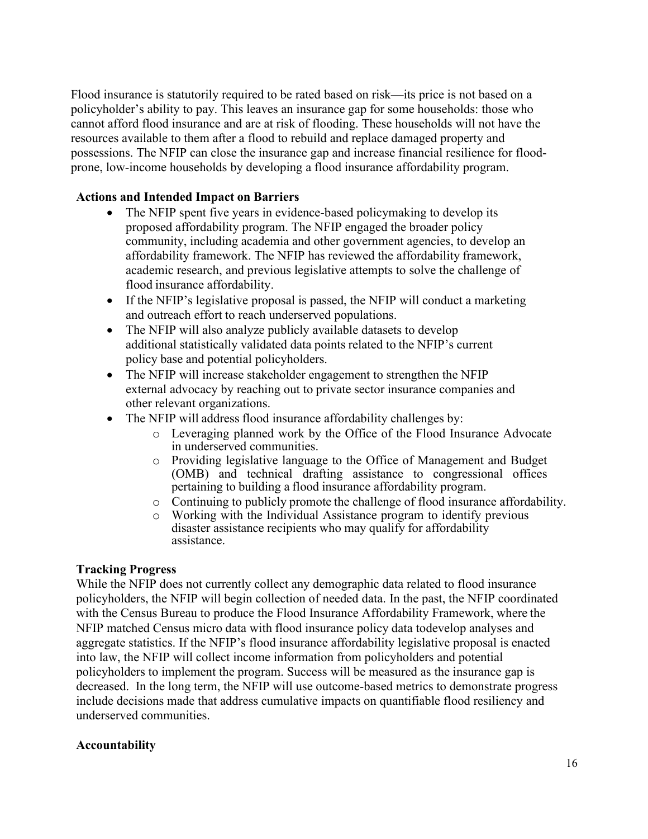Flood insurance is statutorily required to be rated based on risk—its price is not based on a policyholder's ability to pay. This leaves an insurance gap for some households: those who cannot afford flood insurance and are at risk of flooding. These households will not have the resources available to them after a flood to rebuild and replace damaged property and possessions. The NFIP can close the insurance gap and increase financial resilience for floodprone, low-income households by developing a flood insurance affordability program.

### **Actions and Intended Impact on Barriers**

- The NFIP spent five years in evidence-based policymaking to develop its proposed affordability program. The NFIP engaged the broader policy community, including academia and other government agencies, to develop an affordability framework. The NFIP has reviewed the affordability framework, academic research, and previous legislative attempts to solve the challenge of flood insurance affordability.
- If the NFIP's legislative proposal is passed, the NFIP will conduct a marketing and outreach effort to reach underserved populations.
- The NFIP will also analyze publicly available datasets to develop additional statistically validated data points related to the NFIP's current policy base and potential policyholders.
- The NFIP will increase stakeholder engagement to strengthen the NFIP external advocacy by reaching out to private sector insurance companies and other relevant organizations.
- The NFIP will address flood insurance affordability challenges by:
	- o Leveraging planned work by the Office of the Flood Insurance Advocate in underserved communities.
	- o Providing legislative language to the Office of Management and Budget (OMB) and technical drafting assistance to congressional offices pertaining to building a flood insurance affordability program.
	- o Continuing to publicly promote the challenge of flood insurance affordability.
	- o Working with the Individual Assistance program to identify previous disaster assistance recipients who may qualify for affordability assistance.

#### **Tracking Progress**

While the NFIP does not currently collect any demographic data related to flood insurance policyholders, the NFIP will begin collection of needed data. In the past, the NFIP coordinated with the Census Bureau to produce the Flood Insurance Affordability Framework, where the NFIP matched Census micro data with flood insurance policy data todevelop analyses and aggregate statistics. If the NFIP's flood insurance affordability legislative proposal is enacted into law, the NFIP will collect income information from policyholders and potential policyholders to implement the program. Success will be measured as the insurance gap is decreased. In the long term, the NFIP will use outcome-based metrics to demonstrate progress include decisions made that address cumulative impacts on quantifiable flood resiliency and underserved communities.

#### **Accountability**